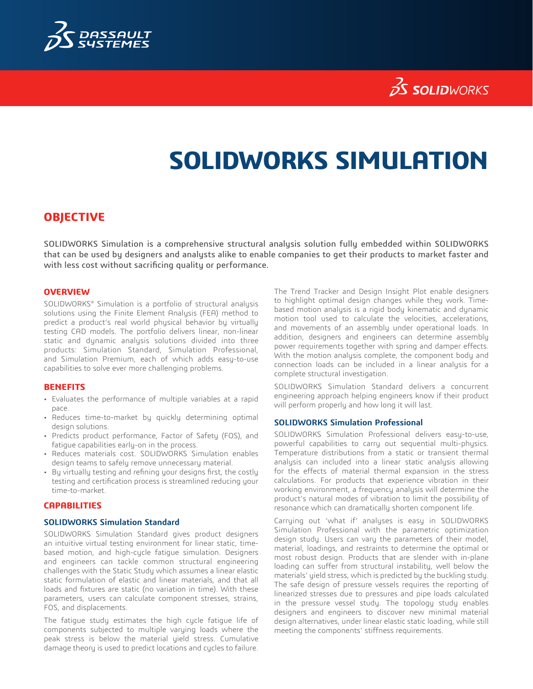

## **SS SOLID**WORKS

# **SOLIDWORKS SIMULATION**

### **OBJECTIVE**

SOLIDWORKS Simulation is a comprehensive structural analysis solution fully embedded within SOLIDWORKS that can be used by designers and analysts alike to enable companies to get their products to market faster and with less cost without sacrificing quality or performance.

#### **OVERVIEW**

SOLIDWORKS® Simulation is a portfolio of structural analysis solutions using the Finite Element Analysis (FEA) method to predict a product's real world physical behavior by virtually testing CAD models. The portfolio delivers linear, non-linear static and dynamic analysis solutions divided into three products: Simulation Standard, Simulation Professional, and Simulation Premium, each of which adds easy-to-use capabilities to solve ever more challenging problems.

#### **BENEFITS**

- Evaluates the performance of multiple variables at a rapid pace.
- Reduces time-to-market by quickly determining optimal design solutions.
- Predicts product performance, Factor of Safety (FOS), and fatigue capabilities early-on in the process.
- Reduces materials cost. SOLIDWORKS Simulation enables design teams to safely remove unnecessary material.
- By virtually testing and refining your designs first, the costly testing and certification process is streamlined reducing your time-to-market.

#### **CAPABILITIES**

#### **SOLIDWORKS Simulation Standard**

SOLIDWORKS Simulation Standard gives product designers an intuitive virtual testing environment for linear static, timebased motion, and high-cycle fatigue simulation. Designers and engineers can tackle common structural engineering challenges with the Static Study which assumes a linear elastic static formulation of elastic and linear materials, and that all loads and fixtures are static (no variation in time). With these parameters, users can calculate component stresses, strains, FOS, and displacements.

The fatigue study estimates the high cycle fatigue life of components subjected to multiple varying loads where the peak stress is below the material yield stress. Cumulative damage theory is used to predict locations and cycles to failure.

The Trend Tracker and Design Insight Plot enable designers to highlight optimal design changes while they work. Timebased motion analysis is a rigid body kinematic and dynamic motion tool used to calculate the velocities, accelerations, and movements of an assembly under operational loads. In addition, designers and engineers can determine assembly power requirements together with spring and damper effects. With the motion analysis complete, the component body and connection loads can be included in a linear analysis for a complete structural investigation.

SOLIDWORKS Simulation Standard delivers a concurrent engineering approach helping engineers know if their product will perform properly and how long it will last.

#### **SOLIDWORKS Simulation Professional**

SOLIDWORKS Simulation Professional delivers easy-to-use, powerful capabilities to carry out sequential multi-physics. Temperature distributions from a static or transient thermal analysis can included into a linear static analysis allowing for the effects of material thermal expansion in the stress calculations. For products that experience vibration in their working environment, a frequency analysis will determine the product's natural modes of vibration to limit the possibility of resonance which can dramatically shorten component life.

Carrying out 'what if' analyses is easy in SOLIDWORKS Simulation Professional with the parametric optimization design study. Users can vary the parameters of their model, material, loadings, and restraints to determine the optimal or most robust design. Products that are slender with in-plane loading can suffer from structural instability, well below the materials' yield stress, which is predicted by the buckling study. The safe design of pressure vessels requires the reporting of linearized stresses due to pressures and pipe loads calculated in the pressure vessel study. The topology study enables designers and engineers to discover new minimal material design alternatives, under linear elastic static loading, while still meeting the components' stiffness requirements.